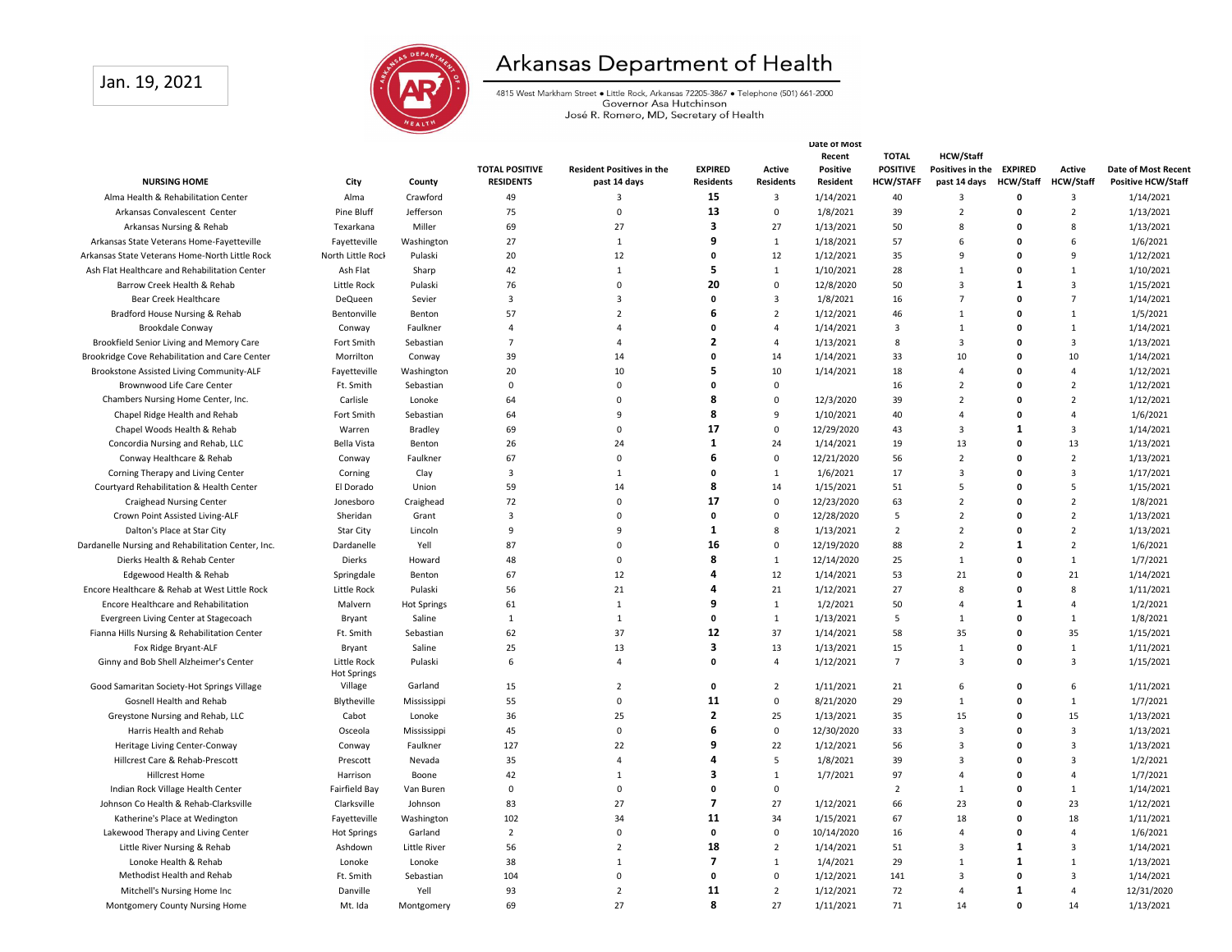## Jan. 19, 2021



## Arkansas Department of Health

4815 West Markham Street • Little Rock, Arkansas 72205-3867 • Telephone (501) 661-2000<br>Governor Asa Hutchinson<br>José R. Romero, MD, Secretary of Health

|                                                    |                               |                       |                       |                                  |                    | Date of Most     |                 |                         |                         |                  |                  |                           |
|----------------------------------------------------|-------------------------------|-----------------------|-----------------------|----------------------------------|--------------------|------------------|-----------------|-------------------------|-------------------------|------------------|------------------|---------------------------|
|                                                    |                               |                       |                       |                                  |                    |                  | Recent          | <b>TOTAL</b>            | <b>HCW/Staff</b>        |                  |                  |                           |
|                                                    |                               |                       | <b>TOTAL POSITIVE</b> | <b>Resident Positives in the</b> | <b>EXPIRED</b>     | Active           | <b>Positive</b> | <b>POSITIVE</b>         | Positives in the        | <b>EXPIRED</b>   | Active           | Date of Most Recent       |
| <b>NURSING HOME</b>                                | City                          | County                | <b>RESIDENTS</b>      | past 14 days                     | <b>Residents</b>   | <b>Residents</b> | Resident        | <b>HCW/STAFF</b>        | past 14 days            | <b>HCW/Staff</b> | <b>HCW/Staff</b> | <b>Positive HCW/Staff</b> |
| Alma Health & Rehabilitation Center                | Alma                          | Crawford              | 49                    | 3                                | 15                 | 3                | 1/14/2021       | 40                      | $\overline{3}$          | $\mathbf 0$      | 3                | 1/14/2021                 |
| Arkansas Convalescent Center                       | Pine Bluff                    | Jefferson             | 75                    | $\mathbf 0$                      | 13                 | $\mathsf 0$      | 1/8/2021        | 39                      | $\overline{2}$          | $\Omega$         | $\overline{2}$   | 1/13/2021                 |
| Arkansas Nursing & Rehab                           | Texarkana                     | Miller                | 69                    | 27                               | 3                  | 27               | 1/13/2021       | 50                      | 8                       | $\mathbf{0}$     | 8                | 1/13/2021                 |
| Arkansas State Veterans Home-Fayetteville          | Fayetteville                  | Washington            | 27                    | $\mathbf{1}$                     | q                  | $1\,$            | 1/18/2021       | 57                      | 6                       | $\Omega$         | 6                | 1/6/2021                  |
| Arkansas State Veterans Home-North Little Rock     | North Little Rock             | Pulaski               | 20                    | 12                               | $\mathbf{0}$       | 12               | 1/12/2021       | 35                      | 9                       | 0                | 9                | 1/12/2021                 |
| Ash Flat Healthcare and Rehabilitation Center      | Ash Flat                      | Sharp                 | 42                    | $\mathbf{1}$                     | 5                  | $\mathbf{1}$     | 1/10/2021       | 28                      | $\mathbf{1}$            | $\Omega$         | $\mathbf{1}$     | 1/10/2021                 |
| Barrow Creek Health & Rehab                        | Little Rock                   | Pulaski               | 76                    | $\Omega$                         | 20                 | $\mathbf 0$      | 12/8/2020       | 50                      | $\overline{3}$          | $\mathbf{1}$     | 3                | 1/15/2021                 |
| Bear Creek Healthcare                              | DeQueen                       | Sevier                | $\overline{3}$        | $\overline{3}$                   | $\pmb{\mathsf{o}}$ | $\mathbf{3}$     | 1/8/2021        | 16                      | $\overline{7}$          | $\Omega$         | $\overline{7}$   | 1/14/2021                 |
| Bradford House Nursing & Rehab                     | Bentonville                   | Benton                | 57                    | $\overline{2}$                   | 6                  | $\overline{2}$   | 1/12/2021       | 46                      | $\mathbf{1}$            | $\Omega$         | $\mathbf{1}$     | 1/5/2021                  |
| Brookdale Conway                                   | Conway                        | Faulkner              | $\overline{a}$        | $\overline{a}$                   | $\mathbf{0}$       | $\overline{4}$   | 1/14/2021       | $\overline{\mathbf{3}}$ | $\mathbf{1}$            | $\Omega$         | $\mathbf{1}$     | 1/14/2021                 |
| Brookfield Senior Living and Memory Care           | Fort Smith                    | Sebastian             | $\overline{7}$        | $\overline{4}$                   | $\overline{2}$     | $\overline{4}$   | 1/13/2021       | 8                       | $\overline{3}$          | $\Omega$         | 3                | 1/13/2021                 |
| Brookridge Cove Rehabilitation and Care Center     | Morrilton                     | Conway                | 39                    | 14                               | $\mathbf{0}$       | 14               | 1/14/2021       | 33                      | 10                      | $\mathbf{0}$     | 10               | 1/14/2021                 |
| Brookstone Assisted Living Community-ALF           | Fayetteville                  | Washington            | 20                    | 10                               | 5                  | 10               | 1/14/2021       | 18                      | 4                       | $\mathbf{0}$     | $\overline{4}$   | 1/12/2021                 |
| Brownwood Life Care Center                         | Ft. Smith                     | Sebastian             | $\Omega$              | $\Omega$                         | $\Omega$           | $\mathbf 0$      |                 | 16                      | $\overline{2}$          | $\Omega$         | $\overline{2}$   | 1/12/2021                 |
| Chambers Nursing Home Center, Inc.                 | Carlisle                      | Lonoke                | 64                    | $\mathbf 0$                      | 8                  | $\mathsf 0$      | 12/3/2020       | 39                      | $\overline{2}$          | $\mathbf{0}$     | $\overline{2}$   | 1/12/2021                 |
| Chapel Ridge Health and Rehab                      | Fort Smith                    | Sebastian             | 64                    | 9                                | 8                  | 9                | 1/10/2021       | 40                      | $\overline{a}$          | $\mathbf{0}$     | $\overline{a}$   | 1/6/2021                  |
| Chapel Woods Health & Rehab                        | Warren                        | Bradley               | 69                    | $\mathbf 0$                      | 17                 | $\mathsf 0$      | 12/29/2020      | 43                      | 3                       | $\mathbf{1}$     | 3                | 1/14/2021                 |
| Concordia Nursing and Rehab, LLC                   | Bella Vista                   | Benton                | 26                    | 24                               | 1                  | 24               | 1/14/2021       | 19                      | 13                      | $\mathbf 0$      | 13               | 1/13/2021                 |
| Conway Healthcare & Rehab                          | Conway                        | Faulkner              | 67                    | $\Omega$                         | 6                  | $\mathbf 0$      | 12/21/2020      | 56                      | $\overline{2}$          | $\Omega$         | $\overline{2}$   | 1/13/2021                 |
| Corning Therapy and Living Center                  | Corning                       | Clay                  | $\overline{3}$        | $\mathbf{1}$                     | $\pmb{\mathsf{o}}$ | $\mathbf 1$      | 1/6/2021        | 17                      | $\overline{\mathbf{3}}$ | $\Omega$         | 3                | 1/17/2021                 |
| Courtyard Rehabilitation & Health Center           | El Dorado                     | Union                 | 59                    | 14                               | 8                  | 14               | 1/15/2021       | 51                      | 5                       | $\mathbf{0}$     | 5                | 1/15/2021                 |
| <b>Craighead Nursing Center</b>                    | Jonesboro                     | Craighead             | 72                    | $\Omega$                         | 17                 | $\mathsf 0$      | 12/23/2020      | 63                      | $\overline{2}$          | $\mathbf{0}$     | $\overline{2}$   | 1/8/2021                  |
| Crown Point Assisted Living-ALF                    | Sheridan                      | Grant                 | $\overline{3}$        | $\Omega$                         | $\mathbf{0}$       | $\mathsf 0$      | 12/28/2020      | 5                       | $\overline{2}$          | $\Omega$         | $\overline{2}$   | 1/13/2021                 |
| Dalton's Place at Star City                        | Star City                     | Lincoln               | 9                     | 9                                | 1                  | 8                | 1/13/2021       | $\overline{2}$          | $\overline{2}$          | $\mathbf{0}$     | $\overline{2}$   | 1/13/2021                 |
| Dardanelle Nursing and Rehabilitation Center, Inc. | Dardanelle                    | Yell                  | 87                    | $\Omega$                         | 16                 | $\mathsf 0$      | 12/19/2020      | 88                      | $\overline{2}$          | -1               | $\overline{2}$   | 1/6/2021                  |
| Dierks Health & Rehab Center                       |                               |                       | 48                    | $\mathbf 0$                      | 8                  | $\mathbf{1}$     | 12/14/2020      | 25                      | $\mathbf{1}$            | $\Omega$         | $\mathbf 1$      | 1/7/2021                  |
|                                                    | Dierks                        | Howard                |                       | 12                               | 4                  | 12               |                 |                         | 21                      | $\mathbf{0}$     | 21               |                           |
| Edgewood Health & Rehab                            | Springdale                    | Benton                | 67                    |                                  |                    |                  | 1/14/2021       | 53                      |                         |                  |                  | 1/14/2021                 |
| Encore Healthcare & Rehab at West Little Rock      | Little Rock                   | Pulaski               | 56                    | 21                               | 4<br>9             | 21               | 1/12/2021       | 27                      | 8                       | $\Omega$         | 8                | 1/11/2021                 |
| Encore Healthcare and Rehabilitation               | Malvern                       | <b>Hot Springs</b>    | 61                    | $\mathbf{1}$                     |                    | $\mathbf 1$      | 1/2/2021        | 50                      | 4                       | 1                | 4                | 1/2/2021                  |
| Evergreen Living Center at Stagecoach              | Bryant                        | Saline                | 1                     | $\mathbf{1}$                     | $\mathbf 0$        | $\mathbf{1}$     | 1/13/2021       | 5                       | $\mathbf{1}$            | $\mathbf{0}$     | $\mathbf{1}$     | 1/8/2021                  |
| Fianna Hills Nursing & Rehabilitation Center       | Ft. Smith                     | Sebastian             | 62                    | 37                               | 12                 | 37               | 1/14/2021       | 58                      | 35                      | $\Omega$         | 35               | 1/15/2021                 |
| Fox Ridge Bryant-ALF                               | Bryant                        | Saline                | 25                    | 13                               | 3                  | 13               | 1/13/2021       | 15                      | $\mathbf{1}$            | $\Omega$         | $\mathbf 1$      | 1/11/2021                 |
| Ginny and Bob Shell Alzheimer's Center             | Little Rock                   | Pulaski               | 6                     | $\overline{a}$                   | $\mathbf{0}$       | $\overline{4}$   | 1/12/2021       | $\overline{7}$          | 3                       | $\mathbf{0}$     | 3                | 1/15/2021                 |
| Good Samaritan Society-Hot Springs Village         | <b>Hot Springs</b><br>Village | Garland               | 15                    | $\overline{2}$                   | $\mathbf 0$        | $\overline{2}$   | 1/11/2021       | 21                      | 6                       | $\Omega$         | 6                | 1/11/2021                 |
| Gosnell Health and Rehab                           |                               |                       | 55                    | $\Omega$                         | 11                 | $\mathbf 0$      | 8/21/2020       | 29                      | $\mathbf{1}$            | $\Omega$         | $\mathbf{1}$     | 1/7/2021                  |
| Greystone Nursing and Rehab, LLC                   | Blytheville<br>Cabot          | Mississippi<br>Lonoke | 36                    | 25                               | $\overline{2}$     | 25               | 1/13/2021       | 35                      | 15                      | 0                | 15               | 1/13/2021                 |
|                                                    |                               |                       |                       | $\mathbf 0$                      | 6                  | $\mathsf 0$      |                 |                         | 3                       | 0                | 3                |                           |
| Harris Health and Rehab                            | Osceola                       | Mississippi           | 45                    |                                  | q                  |                  | 12/30/2020      | 33                      |                         | $\Omega$         |                  | 1/13/2021                 |
| Heritage Living Center-Conway                      | Conway                        | Faulkner              | 127                   | 22                               |                    | 22               | 1/12/2021       | 56                      | 3                       |                  | 3                | 1/13/2021                 |
| Hillcrest Care & Rehab-Prescott                    | Prescott                      | Nevada                | 35                    | $\overline{a}$                   | 4                  | 5                | 1/8/2021        | 39                      | $\overline{3}$          | $\mathbf{0}$     | 3                | 1/2/2021                  |
| <b>Hillcrest Home</b>                              | Harrison                      | Boone                 | 42                    | $\mathbf{1}$                     | 3                  | $\mathbf{1}$     | 1/7/2021        | 97                      | $\overline{a}$          | $\mathbf{0}$     | $\overline{4}$   | 1/7/2021                  |
| Indian Rock Village Health Center                  | Fairfield Bay                 | Van Buren             | $\Omega$              | $\Omega$                         | $\Omega$           | $\mathbf 0$      |                 | $\overline{2}$          | $\mathbf{1}$            | $\Omega$         | $\mathbf{1}$     | 1/14/2021                 |
| Johnson Co Health & Rehab-Clarksville              | Clarksville                   | Johnson               | 83                    | 27                               | $\overline{7}$     | 27               | 1/12/2021       | 66                      | 23                      | 0                | 23               | 1/12/2021                 |
| Katherine's Place at Wedington                     | Fayetteville                  | Washington            | 102                   | 34                               | 11                 | 34               | 1/15/2021       | 67                      | 18                      | $\mathbf{0}$     | 18               | 1/11/2021                 |
| Lakewood Therapy and Living Center                 | <b>Hot Springs</b>            | Garland               | $\overline{2}$        | $\Omega$                         | $\mathbf 0$        | $\mathsf 0$      | 10/14/2020      | 16                      | $\overline{a}$          | $\Omega$         | $\overline{a}$   | 1/6/2021                  |
| Little River Nursing & Rehab                       | Ashdown                       | Little River          | 56                    | $\overline{2}$                   | 18                 | $\overline{2}$   | 1/14/2021       | 51                      | 3                       | 1                | $\overline{3}$   | 1/14/2021                 |
| Lonoke Health & Rehab                              | Lonoke                        | Lonoke                | 38                    | $\mathbf{1}$                     | $\overline{7}$     | $\mathbf{1}$     | 1/4/2021        | 29                      | $\mathbf{1}$            | $\mathbf{1}$     | $\mathbf{1}$     | 1/13/2021                 |
| Methodist Health and Rehab                         | Ft. Smith                     | Sebastian             | 104                   | $\Omega$                         | $\mathbf 0$        | $\mathbf 0$      | 1/12/2021       | 141                     | $\overline{3}$          | $\mathbf{0}$     | 3                | 1/14/2021                 |
| Mitchell's Nursing Home Inc                        | Danville                      | Yell                  | 93                    | $\overline{2}$                   | 11                 | $\overline{2}$   | 1/12/2021       | 72                      | $\overline{4}$          | $\mathbf{1}$     | $\overline{4}$   | 12/31/2020                |
| Montgomery County Nursing Home                     | Mt. Ida                       | Montgomery            | 69                    | 27                               | 8                  | 27               | 1/11/2021       | 71                      | 14                      | $\Omega$         | 14               | 1/13/2021                 |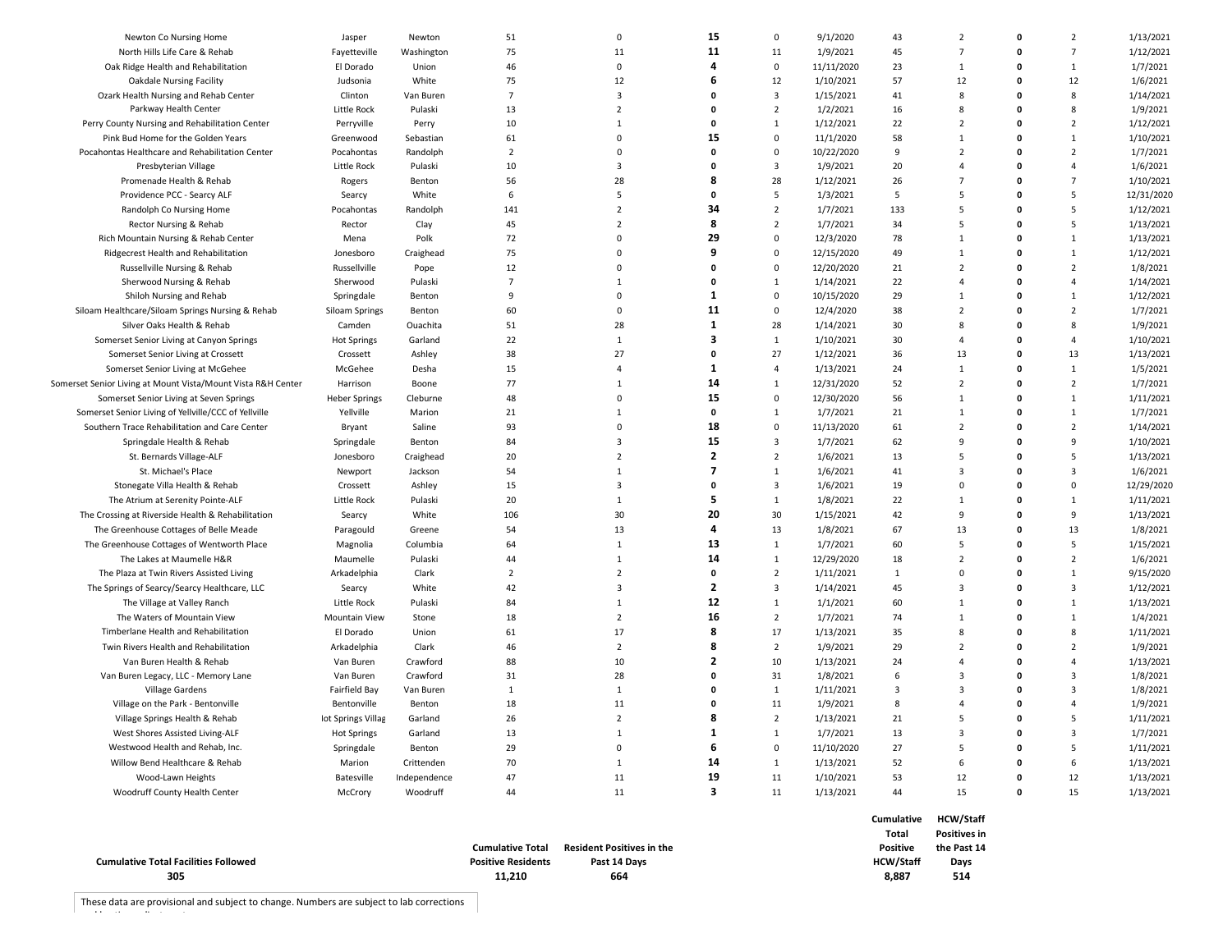| <b>Cumulative Total Facilities Followed</b><br>305             |                           |                      | <b>Cumulative Total</b><br><b>Positive Residents</b><br>11,210 | <b>Resident Positives in the</b><br>Past 14 Days<br>664 |                         |                     |                       | Total<br><b>Positive</b><br><b>HCW/Staff</b><br>8,887 | <b>Positives in</b><br>the Past 14<br>Days<br>514 |              |                |                        |
|----------------------------------------------------------------|---------------------------|----------------------|----------------------------------------------------------------|---------------------------------------------------------|-------------------------|---------------------|-----------------------|-------------------------------------------------------|---------------------------------------------------|--------------|----------------|------------------------|
|                                                                |                           |                      |                                                                |                                                         |                         |                     |                       | Cumulative                                            | <b>HCW/Staff</b>                                  |              |                |                        |
| Woodruff County Health Center                                  | McCrory                   | Woodruff             | 44                                                             | 11                                                      | 3                       | 11                  | 1/13/2021             | 44                                                    | 15                                                | 0            | 15             | 1/13/2021              |
| Wood-Lawn Heights                                              | Batesville                | Independence         | 47                                                             | 11                                                      | 19                      | 11                  | 1/10/2021             | 53                                                    | 12                                                | 0            | 12             | 1/13/2021              |
| Willow Bend Healthcare & Rehab                                 | Marion                    | Crittenden           | 70                                                             | $\mathbf{1}$                                            | 14                      | $\mathbf{1}$        | 1/13/2021             | 52                                                    | 6                                                 | 0            | 6              | 1/13/2021              |
| Westwood Health and Rehab, Inc.                                | Springdale                | Benton               | 29                                                             | $\mathbf 0$                                             | 6                       | 0                   | 11/10/2020            | 27                                                    | 5                                                 | 0            | 5              | 1/11/2021              |
| West Shores Assisted Living-ALF                                | <b>Hot Springs</b>        | Garland              | 13                                                             | 1                                                       | 1                       | $\mathbf{1}$        | 1/7/2021              | 13                                                    | 3                                                 | 0            | 3              | 1/7/2021               |
| Village Springs Health & Rehab                                 | lot Springs Villag        | Garland              | 26                                                             | $\overline{2}$                                          | 8                       | $\overline{2}$      | 1/13/2021             | 21                                                    | 5                                                 | 0            | 5              | 1/11/2021              |
| Village on the Park - Bentonville                              | Bentonville               | Benton               | 18                                                             | 11                                                      | 0                       | 11                  | 1/9/2021              | 8                                                     | $\overline{4}$                                    | $\mathbf{0}$ | $\overline{a}$ | 1/9/2021               |
| Village Gardens                                                | Fairfield Bay             | Van Buren            | $\mathbf{1}$                                                   | $\mathbf{1}$                                            | 0                       | $\mathbf{1}$        | 1/11/2021             | 3                                                     | 3                                                 | $\mathbf{0}$ | 3              | 1/8/2021               |
| Van Buren Legacy, LLC - Memory Lane                            | Van Buren                 | Crawford             | 31                                                             | 28                                                      | 0                       | 31                  | 1/8/2021              | 6                                                     | 3                                                 | $\mathbf{0}$ | 3              | 1/8/2021               |
| Van Buren Health & Rehab                                       | Van Buren                 | Crawford             | 88                                                             | 10                                                      | $\overline{2}$          | 10                  | 1/13/2021             | 24                                                    | $\overline{4}$                                    | $\mathbf{0}$ | $\overline{a}$ | 1/13/2021              |
| Twin Rivers Health and Rehabilitation                          | Arkadelphia               | Clark                | 46                                                             | $\overline{2}$                                          | 8                       | $\overline{2}$      | 1/9/2021              | 29                                                    | $\overline{2}$                                    | 0            | $\overline{2}$ | 1/9/2021               |
| Timberlane Health and Rehabilitation                           | El Dorado                 | Union                | 61                                                             | 17                                                      | 8                       | 17                  | 1/13/2021             | 35                                                    | 8                                                 | 0            | 8              | 1/11/2021              |
| The Waters of Mountain View                                    | <b>Mountain View</b>      | Stone                | 18                                                             | $\overline{2}$                                          | 16                      | $\overline{2}$      | 1/7/2021              | 74                                                    | $\mathbf{1}$                                      | 0            | $\mathbf{1}$   | 1/4/2021               |
| The Village at Valley Ranch                                    | Little Rock               | Pulaski              | 84                                                             | $\mathbf{1}$                                            | 12                      | $\mathbf{1}$        | 1/1/2021              | 60                                                    | $\mathbf{1}$                                      | 0            | $\mathbf{1}$   | 1/13/2021              |
| The Springs of Searcy/Searcy Healthcare, LLC                   | Searcy                    | White                | 42                                                             | $\overline{3}$                                          | $\overline{\mathbf{c}}$ | 3                   | 1/14/2021             | 45                                                    | $\overline{\mathbf{3}}$                           | 0            | 3              | 1/12/2021              |
| The Plaza at Twin Rivers Assisted Living                       | Arkadelphia               | Clark                | $\overline{2}$                                                 | $\overline{2}$                                          | 0                       | $\overline{2}$      | 1/11/2021             | $\mathbf{1}$                                          | $\Omega$                                          | $\mathbf{0}$ | $\mathbf{1}$   | 9/15/2020              |
| The Lakes at Maumelle H&R                                      | Maumelle                  | Pulaski              | 44                                                             | $\mathbf{1}$                                            | 14                      | $\mathbf{1}$        | 12/29/2020            | 18                                                    | $\overline{2}$                                    | $\mathbf{0}$ | $\overline{2}$ | 1/6/2021               |
| The Greenhouse Cottages of Wentworth Place                     | Magnolia                  | Columbia             | 64                                                             | $\mathbf{1}$                                            | 13                      | $\mathbf{1}$        | 1/7/2021              | 60                                                    | 5                                                 | 0            | 5              | 1/15/2021              |
| The Greenhouse Cottages of Belle Meade                         | Paragould                 | Greene               | 54                                                             | 13                                                      | 4                       | 13                  | 1/8/2021              | 67                                                    | 13                                                | 0            | 13             | 1/8/2021               |
| The Crossing at Riverside Health & Rehabilitation              | Searcy                    | White                | 106                                                            | 30                                                      | 20                      | 30                  | 1/15/2021             | 42                                                    | 9                                                 | $\mathbf{0}$ | 9              | 1/13/2021              |
| The Atrium at Serenity Pointe-ALF                              | Little Rock               | Pulaski              | 20                                                             | $\mathbf{1}$                                            | 5                       | $\mathbf{1}$        | 1/8/2021              | 22                                                    | 1                                                 | $\mathbf 0$  | $\mathbf{1}$   | 1/11/2021              |
| Stonegate Villa Health & Rehab                                 | Crossett                  | Ashley               | 15                                                             | $\overline{3}$                                          | 0                       | 3                   | 1/6/2021              | 19                                                    | $\mathbf 0$                                       | 0            | $\mathbf 0$    | 12/29/2020             |
| St. Michael's Place                                            | Newport                   | Jackson              | 54                                                             | $\mathbf{1}$                                            | $\overline{\mathbf{z}}$ | $\mathbf{1}$        | 1/6/2021              | 41                                                    | $\overline{\mathbf{3}}$                           | 0            | 3              | 1/6/2021               |
| St. Bernards Village-ALF                                       | Jonesboro                 | Craighead            | 20                                                             | $\overline{2}$                                          | $\overline{2}$          | $\overline{2}$      | 1/6/2021              | 13                                                    | 5                                                 | $\mathbf{0}$ | 5              | 1/13/2021              |
| Springdale Health & Rehab                                      | Springdale                | Benton               | 84                                                             | $\overline{3}$                                          | 15                      | 3                   | 1/7/2021              | 62                                                    | 9                                                 | 0            | 9              | 1/10/2021              |
| Southern Trace Rehabilitation and Care Center                  | Bryant                    | Saline               | 93                                                             | $\mathsf 0$                                             | 18                      | $\mathbf 0$         | 11/13/2020            | 61                                                    | $\overline{2}$                                    | 0            | $\overline{2}$ | 1/14/2021              |
| Somerset Senior Living of Yellville/CCC of Yellville           | Yellville                 | Marion               | 21                                                             | $\mathbf{1}$                                            | 0                       | $\mathbf{1}$        | 1/7/2021              | 21                                                    | $\mathbf{1}$                                      | $\mathbf{0}$ | $\mathbf{1}$   | 1/7/2021               |
| Somerset Senior Living at Seven Springs                        | <b>Heber Springs</b>      | Cleburne             | 48                                                             | $\mathbf 0$                                             | 15                      | $\mathbf 0$         | 12/30/2020            | 56                                                    | $\mathbf{1}$                                      | $\mathbf{0}$ | $\mathbf{1}$   | 1/11/2021              |
| Somerset Senior Living at Mount Vista/Mount Vista R&H Center   | Harrison                  | Boone                | 77                                                             | $\mathbf{1}$                                            | 14                      | $\mathbf{1}$        | 12/31/2020            | 52                                                    | $\overline{2}$                                    | 0            | $\overline{2}$ | 1/7/2021               |
| Somerset Senior Living at McGehee                              | McGehee                   | Desha                | 15                                                             | $\overline{4}$                                          | 1                       | $\overline{4}$      | 1/13/2021             | 24                                                    | $\mathbf{1}$                                      | 0            | $\mathbf{1}$   | 1/5/2021               |
| Somerset Senior Living at Crossett                             | Crossett                  | Ashley               | 38                                                             | 27                                                      | 0                       | 27                  | 1/12/2021             | 36                                                    | 13                                                | 0            | 13             | 1/13/2021              |
| Somerset Senior Living at Canyon Springs                       | <b>Hot Springs</b>        | Garland              | 22                                                             | $\mathbf{1}$                                            | 3                       | $\mathbf{1}$        | 1/10/2021             | 30                                                    | $\overline{4}$                                    | 0            | $\overline{4}$ | 1/10/2021              |
| Silver Oaks Health & Rehab                                     | Camden                    | Ouachita             | 51                                                             | 28                                                      | 1                       | 28                  | 1/14/2021             | 30                                                    | 8                                                 | 0            | 8              | 1/9/2021               |
| Siloam Healthcare/Siloam Springs Nursing & Rehab               | Siloam Springs            | Benton               | 60                                                             | 0                                                       | 11                      | $\mathbf 0$         | 12/4/2020             | 38                                                    | $\overline{2}$                                    | 0            | $\overline{2}$ | 1/7/2021               |
| Shiloh Nursing and Rehab                                       | Springdale                | Benton               | 9                                                              | $\mathbf 0$                                             | 1                       | $\mathbf 0$         | 10/15/2020            | 29                                                    | $\mathbf{1}$                                      | 0            | $\mathbf{1}$   | 1/12/2021              |
| Sherwood Nursing & Rehab                                       | Sherwood                  | Pulaski              | $\overline{7}$                                                 | $\mathbf{1}$                                            | 0                       | $\mathbf{1}$        | 1/14/2021             | 22                                                    | $\overline{4}$                                    | $\mathbf{0}$ | $\overline{a}$ | 1/14/2021              |
| Russellville Nursing & Rehab                                   | Russellville              | Pope                 | 12                                                             | $\mathbf 0$                                             | 0                       | 0                   | 12/20/2020            | 21                                                    | $\overline{2}$                                    | $\mathbf{0}$ | $\overline{2}$ | 1/8/2021               |
| Ridgecrest Health and Rehabilitation                           | Jonesboro                 | Craighead            | 75                                                             | $\Omega$                                                | 9                       | 0                   | 12/15/2020            | 49                                                    | $\mathbf{1}$                                      | 0            | $\mathbf{1}$   | 1/12/2021              |
| Rich Mountain Nursing & Rehab Center                           | Mena                      | Polk                 | 72                                                             | 0                                                       | 29                      | $\mathbf 0$         | 12/3/2020             | 78                                                    | $\mathbf{1}$                                      | 0            | $\mathbf{1}$   | 1/13/2021              |
| Rector Nursing & Rehab                                         | Rector                    | Clay                 | 45                                                             | $\overline{2}$                                          | 8                       | $\overline{2}$      | 1/7/2021              | 34                                                    | 5                                                 | 0            | 5              | 1/13/2021              |
| Randolph Co Nursing Home                                       | Pocahontas                | Randolph             | 141                                                            | $\overline{2}$                                          | 34                      | $\overline{2}$      | 1/7/2021              | 133                                                   | 5                                                 | $\mathbf{0}$ | 5              | 1/12/2021              |
| Providence PCC - Searcy ALF                                    | Searcy                    | White                | 6                                                              | 5                                                       | $\mathbf 0$             | 5                   | 1/3/2021              | 5                                                     | 5                                                 | 0            | 5              | 12/31/2020             |
| Promenade Health & Rehab                                       | Rogers                    | Benton               | 56                                                             | 28                                                      | 8                       | 28                  | 1/12/2021             | 26                                                    | $\overline{7}$                                    | 0            | $\overline{7}$ | 1/10/2021              |
| Presbyterian Village                                           | Little Rock               | Pulaski              | 10                                                             | 3                                                       | 0                       | 3                   | 1/9/2021              | 20                                                    | $\overline{4}$                                    | 0            | $\overline{a}$ | 1/6/2021               |
| Pocahontas Healthcare and Rehabilitation Center                | Pocahontas                | Randolph             | $\overline{2}$                                                 | 0                                                       | 0                       | 0                   | 10/22/2020            | 9                                                     | $\overline{2}$                                    | $\mathbf{0}$ | $\overline{2}$ | 1/7/2021               |
| Pink Bud Home for the Golden Years                             | Greenwood                 | Sebastian            | 61                                                             | $\mathbf 0$                                             | 15                      | $\mathbf 0$         | 11/1/2020             | 58                                                    | $\mathbf{1}$                                      | $\mathbf{0}$ | $\mathbf{1}$   | 1/10/2021              |
| Perry County Nursing and Rehabilitation Center                 | Little Rock<br>Perryville | Pulaski<br>Perry     | 13<br>10                                                       | $\mathbf{1}$                                            | 0                       | $\mathbf{1}$        | 1/2/2021<br>1/12/2021 | 16<br>22                                              | $\overline{2}$                                    | 0            | $\overline{2}$ | 1/9/2021<br>1/12/2021  |
| Ozark Health Nursing and Rehab Center<br>Parkway Health Center | Clinton                   | Van Buren            | $\overline{7}$                                                 | $\overline{2}$                                          | 0                       | 3<br>$\overline{2}$ | 1/15/2021             | 41                                                    | 8                                                 | $\mathbf{0}$ | 8              | 1/14/2021              |
| <b>Oakdale Nursing Facility</b>                                | Judsonia                  | White                | 75                                                             | 12<br>$\overline{3}$                                    | 0                       | 12                  | 1/10/2021             |                                                       | 12<br>8                                           | 0            | 8              | 1/6/2021               |
| Oak Ridge Health and Rehabilitation                            | El Dorado                 | Union                | 46                                                             |                                                         | 6                       | 0                   | 11/11/2020            | 23<br>57                                              |                                                   | $\mathbf{0}$ | 12             | 1/7/2021               |
|                                                                |                           |                      |                                                                | $\mathbf 0$                                             | 4                       |                     |                       |                                                       | $\mathbf{1}$                                      | 0            | $\mathbf{1}$   |                        |
| Newton Co Nursing Home<br>North Hills Life Care & Rehab        | Jasper<br>Fayetteville    | Newton<br>Washington | 51<br>75                                                       | 11                                                      | 11                      | 0<br>11             | 9/1/2020<br>1/9/2021  | 43<br>45                                              | $\overline{7}$                                    | 0            | $\overline{7}$ | 1/13/2021<br>1/12/2021 |
|                                                                |                           |                      |                                                                | $\mathbf 0$                                             | 15                      |                     |                       |                                                       | $\overline{2}$                                    | 0            | $\overline{2}$ |                        |

These data are provisional and subject to change. Numbers are subject to lab corrections

and lag time adjustments.